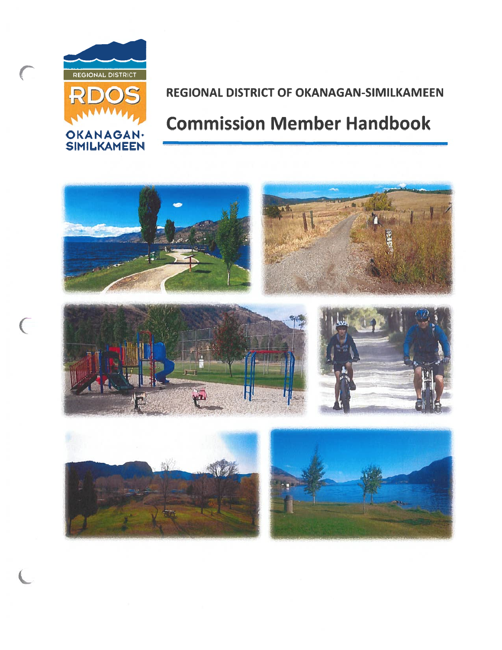

 $\overline{C}$ 

# REGIONAL DISTRICT OF OKANAGAN-SIMILKAMEEN

# Commission Member Handbook

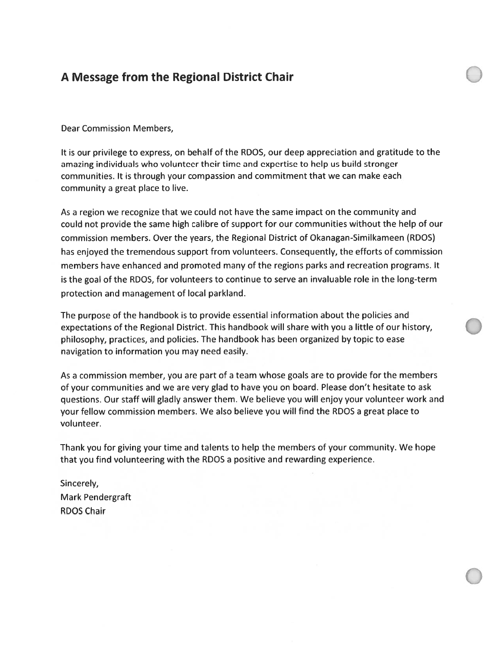## A Message from the Regional District Chair

Dear Commission Members,

It is our privilege to express, on behalf of the RDOS, our deep appreciation and gratitude to the amazing individuals who volunteer their time and expertise to help us build stronger communities. It is through your compassion and commitment that we can make each community <sup>a</sup> grea<sup>t</sup> place to live.

As a region we recognize that we could not have the same impact on the community and could not provide the same high calibre of suppor<sup>t</sup> for our communities without the help of our commission members. Over the years, the Regional District of Okanagan-Similkameen (RDOS) has enjoyed the tremendous suppor<sup>t</sup> from volunteers. Consequently, the efforts of commission members have enhanced and promoted many of the regions parks and recreation programs. It is the goal of the RDOS, for volunteers to continue to serve an invaluable role in the long-term protection and managemen<sup>t</sup> of local parkland.

The purpose of the handbook is to provide essential information about the policies and expectations of the Regional District. This handbook will share with you <sup>a</sup> little of our history, philosophy, practices, and policies. The handbook has been organized by topic to ease navigation to information you may need easily.

As a commission member, you are part of a team whose goals are to provide for the members of your communities and we are very glad to have you on board. Please don't hesitate to ask questions. Our staff will gladly answer them. We believe you will enjoy your volunteer work and your fellow commission members. We also believe you will find the RDOS <sup>a</sup> grea<sup>t</sup> place to volunteer.

Thank you for giving your time and talents to help the members of your community. We hope that you find volunteering with the RDOS <sup>a</sup> positive and rewarding experience.

Sincerely, Mark Pendergraft RDOS Chair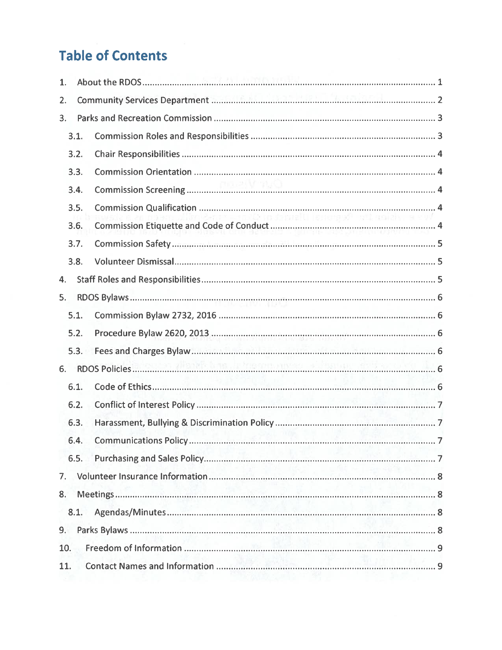# Table of Contents

| 1.  |      |                                                                                                                                                                                                                                                                                                                                                                                                                                                                                                                                                                                                    |  |  |  |
|-----|------|----------------------------------------------------------------------------------------------------------------------------------------------------------------------------------------------------------------------------------------------------------------------------------------------------------------------------------------------------------------------------------------------------------------------------------------------------------------------------------------------------------------------------------------------------------------------------------------------------|--|--|--|
| 2.  |      |                                                                                                                                                                                                                                                                                                                                                                                                                                                                                                                                                                                                    |  |  |  |
| 3.  |      |                                                                                                                                                                                                                                                                                                                                                                                                                                                                                                                                                                                                    |  |  |  |
|     | 3.1. |                                                                                                                                                                                                                                                                                                                                                                                                                                                                                                                                                                                                    |  |  |  |
|     | 3.2. |                                                                                                                                                                                                                                                                                                                                                                                                                                                                                                                                                                                                    |  |  |  |
|     | 3.3. |                                                                                                                                                                                                                                                                                                                                                                                                                                                                                                                                                                                                    |  |  |  |
|     | 3.4. |                                                                                                                                                                                                                                                                                                                                                                                                                                                                                                                                                                                                    |  |  |  |
|     | 3.5. |                                                                                                                                                                                                                                                                                                                                                                                                                                                                                                                                                                                                    |  |  |  |
|     | 3.6. | rindernal Lienergof wil maidh. a cui<br>$\begin{minipage}[c]{0.9\linewidth} \textbf{Commission Etiquette and Code of Conduct} \end{minipage} \begin{minipage}[c]{0.9\linewidth} \textbf{Comparing} \end{minipage} \begin{minipage}[c]{0.9\linewidth} \textbf{Comparing} \end{minipage} \begin{minipage}[c]{0.9\linewidth} \textbf{Comparing} \end{minipage} \begin{minipage}[c]{0.9\linewidth} \textbf{Comparing} \end{minipage} \begin{minipage}[c]{0.9\linewidth} \textbf{Comparing} \end{minipage} \begin{minipage}[c]{0.9\linewidth} \textbf{Comparing} \end{minipage} \begin{minipage}[c]{0.$ |  |  |  |
|     | 3.7. |                                                                                                                                                                                                                                                                                                                                                                                                                                                                                                                                                                                                    |  |  |  |
|     | 3.8. |                                                                                                                                                                                                                                                                                                                                                                                                                                                                                                                                                                                                    |  |  |  |
| 4.  |      |                                                                                                                                                                                                                                                                                                                                                                                                                                                                                                                                                                                                    |  |  |  |
| 5.  |      |                                                                                                                                                                                                                                                                                                                                                                                                                                                                                                                                                                                                    |  |  |  |
|     | 5.1. |                                                                                                                                                                                                                                                                                                                                                                                                                                                                                                                                                                                                    |  |  |  |
|     | 5.2. |                                                                                                                                                                                                                                                                                                                                                                                                                                                                                                                                                                                                    |  |  |  |
|     | 5.3. |                                                                                                                                                                                                                                                                                                                                                                                                                                                                                                                                                                                                    |  |  |  |
| 6.  |      |                                                                                                                                                                                                                                                                                                                                                                                                                                                                                                                                                                                                    |  |  |  |
|     | 6.1. |                                                                                                                                                                                                                                                                                                                                                                                                                                                                                                                                                                                                    |  |  |  |
|     | 6.2. |                                                                                                                                                                                                                                                                                                                                                                                                                                                                                                                                                                                                    |  |  |  |
|     | 6.3. |                                                                                                                                                                                                                                                                                                                                                                                                                                                                                                                                                                                                    |  |  |  |
|     | 6.4. |                                                                                                                                                                                                                                                                                                                                                                                                                                                                                                                                                                                                    |  |  |  |
|     | 6.5. |                                                                                                                                                                                                                                                                                                                                                                                                                                                                                                                                                                                                    |  |  |  |
|     |      |                                                                                                                                                                                                                                                                                                                                                                                                                                                                                                                                                                                                    |  |  |  |
| 8.  |      |                                                                                                                                                                                                                                                                                                                                                                                                                                                                                                                                                                                                    |  |  |  |
|     | 8.1. |                                                                                                                                                                                                                                                                                                                                                                                                                                                                                                                                                                                                    |  |  |  |
| 9.  |      |                                                                                                                                                                                                                                                                                                                                                                                                                                                                                                                                                                                                    |  |  |  |
| 10. |      |                                                                                                                                                                                                                                                                                                                                                                                                                                                                                                                                                                                                    |  |  |  |
| 11. |      |                                                                                                                                                                                                                                                                                                                                                                                                                                                                                                                                                                                                    |  |  |  |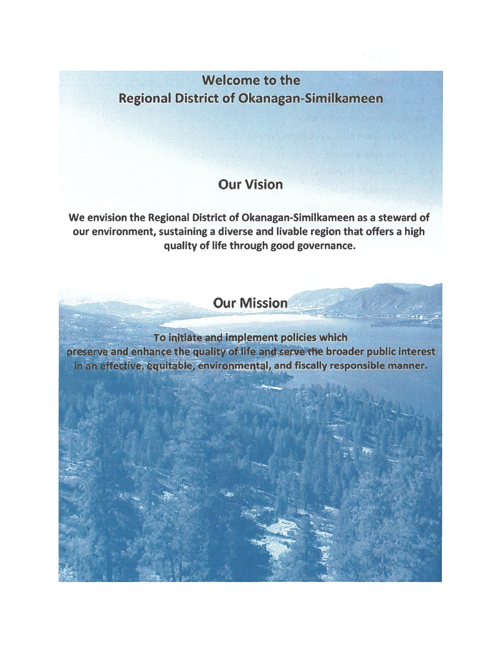# Welcome to the Regional District of Okanagan-Similkameen

# Our Vision

We envision the Regional District of Okanagan-Similkameen as <sup>a</sup> steward of our environment, sustaining <sup>a</sup> diverse and livable region that offers <sup>a</sup> high quality of life through good governance.

Our Mission

To initiate and implement policies which › initiate and implement policies which<br>ce the quality of life and serve the broader public interest and fiscally re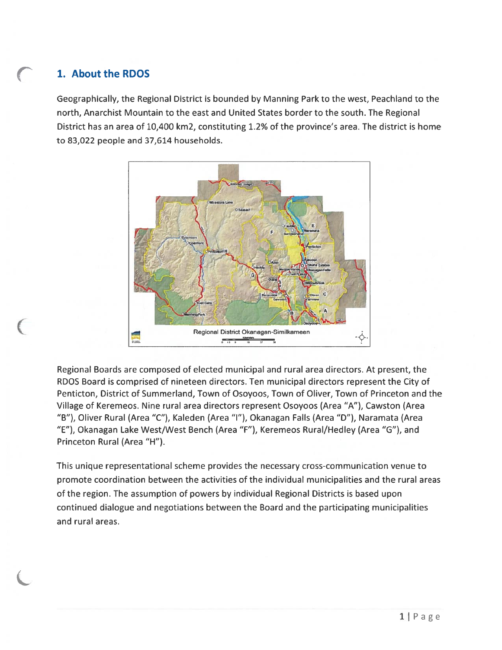# 1. About the RDOS

Geographically, the Regional District is bounded by Manning Park to the west, Peachland to the north, Anarchist Mountain to the east and United States border to the south. The Regional District has an area of 10,400 km2, constituting 1.2% of the province's area. The district is home to 83,022 people and 37,614 households.



Regional Boards are composed of elected municipal and rural area directors. At present, the RDOS Board is comprised of nineteen directors. Ten municipal directors represen<sup>t</sup> the City of Penticton, District of Summerland, Town of Osoyoos, Town of Oliver, Town of Princeton and the Village of Keremeos. Nine rural area directors represen<sup>t</sup> Osoyoos (Area "A"), Cawston (Area "B"), Oliver Rural (Area "C"), Kaleden (Area "I"), Okanagan Falls (Area "D"), Naramata (Area "E"), Okanagan Lake West/West Bench (Area "F"), Keremeos Rural/Hedley (Area "G"), and Princeton Rural (Area "H").

This unique representational scheme provides the necessary cross-communication venue to promote coordination between the activities of the individual municipalities and the rural areas of the region. The assumption of powers by individual Regional Districts is based upon continued dialogue and negotiations between the Board and the participating municipalities and rural areas.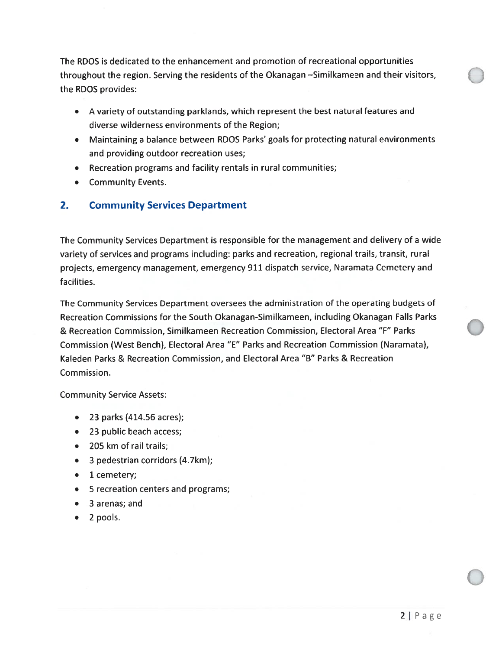The RDOS is dedicated to the enhancement and promotion of recreational opportunities throughout the region. Serving the residents of the Okanagan -Similkameen and their visitors, the RDOS provides:

- A variety of outstanding parkiands, which represen<sup>t</sup> the best natural features and diverse wilderness environments of the Region;
- Maintaining <sup>a</sup> balance between RDOS Parks' goals for protecting natural environments and providing outdoor recreation uses;
- Recreation programs and facility rentals in rural communities;
- Community Events.

#### 2.Community Services Department

The Community Services Department is responsible for the managemen<sup>t</sup> and delivery of <sup>a</sup> wide variety of services and programs including: parks and recreation, regional trails, transit, rural projects, emergency management, emergency 911 dispatch service, Naramata Cemetery and facilities.

The Community Services Department oversees the administration of the operating budgets of Recreation Commissions for the South Okanagan-Similkameen, including Okanagan Falls Parks & Recreation Commission, Similkameen Recreation Commission, Electoral Area "F" Parks Commission (West Bench), Electoral Area "E" Parks and Recreation Commission (Naramata), Kaleden Parks & Recreation Commission, and Electoral Area "B" Parks & Recreation Commission.

Community Service Assets:

- 23 parks (414.56 acres)
- 23 public beach access
- 205 km of rail trails
- 3 pedestrian corridors (4.7km)
- 1 cemetery
- S recreation centers and programs;
- 3 arenas; and
- 2 pools.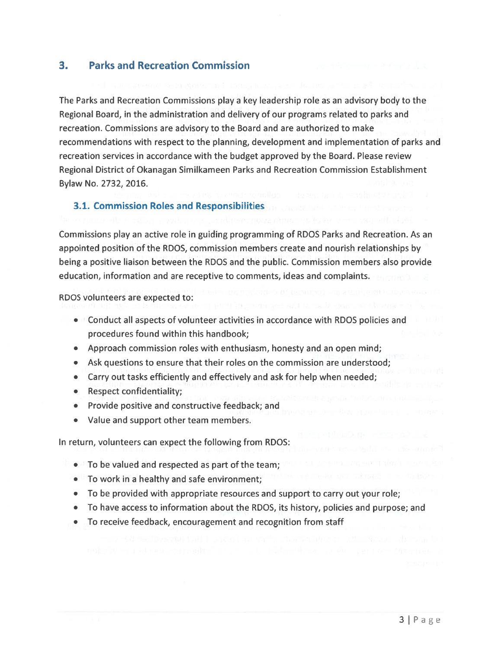#### 3. Parks and Recreation Commission

The Parks and Recreation Commissions play <sup>a</sup> key leadership role as an advisory body to the Regional Board, in the administration and delivery of our programs related to parks and recreation. Commissions are advisory to the Board and are authorized to make recommendations with respec<sup>t</sup> to the planning, development and implementation of parks and recreation services in accordance with the budget approved by the Board. Please review Regional District of Okanagan Similkameen Parks and Recreation Commission Establishment Bylaw No. 2732, 2016.

#### 3.1. Commission Roles and Responsibilities

Commissions play an active role in guiding programming of RDOS Parks and Recreation. As an appointed position of the RDOS, commission members create and nourish relationships by being <sup>a</sup> positive liaison between the RDOS and the public. Commission members also provide education, information and are receptive to comments, ideas and complaints.

RDOS volunteers are expected to:

- $\bullet$   $\prime\prime$  Conduct all aspects of volunteer activities in accordance with RDOS policies and procedures found within this handbook;
- Approach commission roles with enthusiasm, honesty and an open mind;
- Ask questions to ensure that their roles on the commission are understood;
- Carry out tasks efficiently and effectively and ask for help when needed;
- Respect confidentiality;
- Provide positive and constructive feedback; and
- •Value and suppor<sup>t</sup> other team members.

In return, volunteers can expec<sup>t</sup> the following from RDOS:

- $\bullet$   $\blacksquare$  To be valued and respected as part of the team;
- To work in <sup>a</sup> healthy and safe environment;
- To be provided with appropriate resources and suppor<sup>t</sup> to carry out your role;
- To have access to information about the RDOS, its history, policies and purpose; and
- •To receive feedback, encouragement and recognition from staff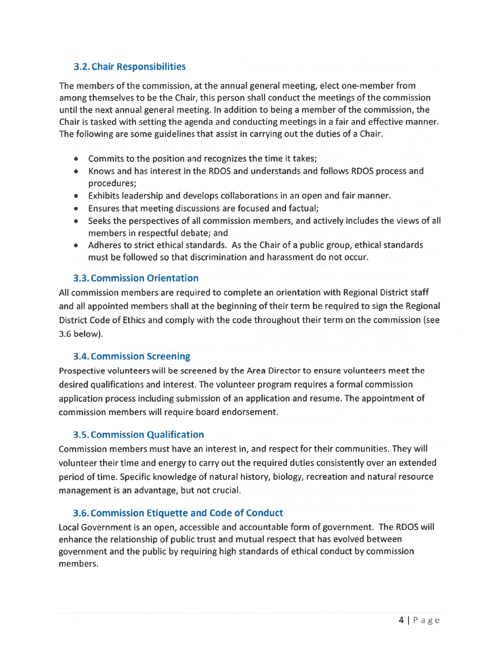#### 3.2. Chair Responsibilities

The members of the commission, at the annual general meeting, elect one-member from among themselves to be the Chair, this person shall conduct the meetings of the commission until the next annual general meeting. In addition to being <sup>a</sup> member of the commission, the Chair is tasked with setting the agenda and conducting meetings in <sup>a</sup> fair and effective manner. The following are some guidelines that assist in carrying out the duties of <sup>a</sup> Chair.

- Commits to the position and recognizes the time it takes;
- Knows and has interest in the RDOS and understands and follows RDOS process and procedures;
- Exhibits leadership and develops collaborations in an open and fair manner.
- Ensures that meeting discussions are focused and factual;
- Seeks the perspectives of all commission members, and actively includes the views of al members in respectful debate; and
- Adheres to strict ethical standards. As the Chair of <sup>a</sup> public group, ethical standards must be followed so that discrimination and harassment do not occur.

#### 3.3. Commission Orientation

All commission members are required to complete an orientation with Regional District staff and all appointed members shall at the beginning of their term be required to sign the Regional District Code of Ethics and comply with the code throughout their term on the commission (see 3.6 below).

#### 3.4. Commission Screening

Prospective volunteers will be screened by the Area Director to ensure volunteers meet the desired qualifications and interest. The volunteer program requires <sup>a</sup> formal commission application process including submission of an application and resume. The appointment of commission members will require board endorsement.

#### 3.5. Commission Qualification

Commission members must have an interest in, and respec<sup>t</sup> for their communities. They will volunteer their time and energy to carry out the required duties consistently over an extended period of time. Specific knowledge of natural history, biology, recreation and natural resource managemen<sup>t</sup> is an advantage, but not crucial.

#### 3.6. Commission Etiquette and Code of Conduct

Local Government is an open, accessible and accountable form of government. The RDOS will enhance the relationship of public trust and mutual respec<sup>t</sup> that has evolved between governmen<sup>t</sup> and the public by requiring high standards of ethical conduct by commission members.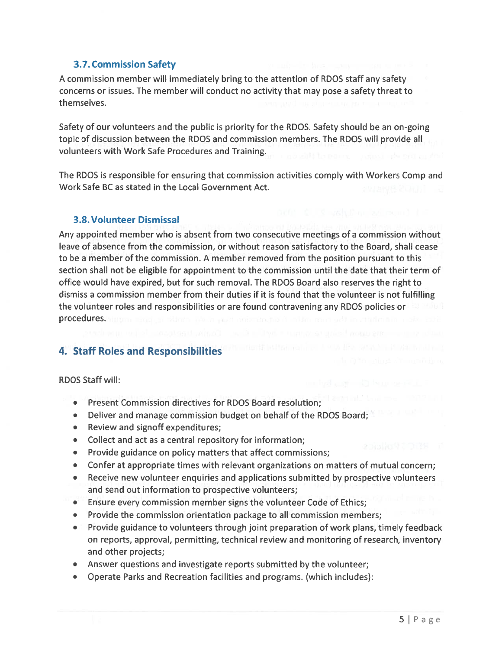#### 3.7. Commission Safety

A commission member will immediately bring to the attention of RDOS staff any safety concerns or issues. The member will conduct no activity that may pose <sup>a</sup> safety threat to themselves.

Safety of our volunteers and the public is priority for the RDOS. Safety should be an on-going topic of discussion between the RDOS and commission members. The RDOS will provide all volunteers with Work Safe Procedures and Training.

The RDOS is responsible for ensuring that commission activities comply with Workers Comp and Work Safe BC as stated in the Local Government Act.

#### 3.8. Volunteer Dismissal

Any appointed member who is absent from two consecutive meetings of <sup>a</sup> commission without leave of absence from the commission, or without reason satisfactory to the Board, shall cease to be <sup>a</sup> member of the commission. A member removed from the position pursuan<sup>t</sup> to this section shall not be eligible for appointment to the commission until the date that their term of office would have expired, but for such removal. The RDOS Board also reserves the right to dismiss <sup>a</sup> commission member from their duties if it is found that the volunteer is not fulfilling the volunteer roles and responsibilities or are found contravening any RDOS policies or procedures. The contract of the contract of the contract of the contract of the contract of the contract of the

### 4. Staff Roles and Responsibilities

RDOS Staff will:

- •Present Commission directives for RDOS Board resolution;
- Deliver and manage commission budget on behalf of the RDOS Board;
- Review and signoff expenditures;
- Collect and act as <sup>a</sup> central repository for information;
- Provide guidance on policy matters that affect commissions;
- Confer at appropriate times with relevant organizations on matters of mutual concern;
- Receive new volunteer enquiries and applications submitted by prospective volunteers and send out information to prospective volunteers;
- Ensure every commission member signs the volunteer Code of Ethics;
- Provide the commission orientation package to all commission members;
- Provide guidance to volunteers through joint preparation of work plans, timely feedback on reports, approval, permitting, technical review and monitoring of research, inventory and other projects;
- Answer questions and investigate reports submitted by the volunteer;
- •Operate Parks and Recreation facilities and programs. (which includes):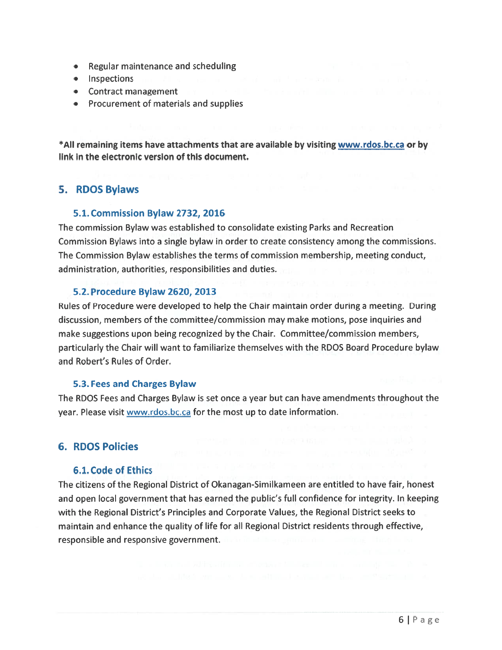- Regular maintenance and scheduling
- Inspections
- Contract managemen<sup>t</sup>
- Procurement of materials and supplies

\*AlI remaining items have attachments that are available by visiting www.rdos.bc.ca or by link in the electronic version of this document.

#### 5. RDOS Bylaws

#### 5.1. Commission Bylaw 2732, 2016

The commission Bylaw was established to consolidate existing Parks and Recreation Commission Bylaws into <sup>a</sup> single bylaw in order to create consistency among the commissions. The Commission Bylaw establishes the terms of commission membership, meeting conduct, administration, authorities, responsibilities and duties.

#### 5.2. Procedure Bylaw 2620, 2013

Rules of Procedure were developed to help the Chair maintain order during <sup>a</sup> meeting. During discussion, members of the committee/commission may make motions, pose inquiries and make suggestions upon being recognized by the Chair. Committee/commission members, particularly the Chair will want to familiarize themselves with the RDOS Board Procedure bylaw and Robert's Rules of Order.

#### 5.3. Fees and Charges Bylaw

The RDOS Fees and Charges Bylaw is set once <sup>a</sup> year but can have amendments throughout the year. Please visit www.rdos.bc.ca for the most up to date information.

#### 6. RDOS Policies

#### 6.1. Code of Ethics

The citizens of the Regional District of Okanagan-Similkameen are entitled to have fair, honest and open local governmen<sup>t</sup> that has earned the public's full confidence for integrity. In keeping with the Regional District's Principles and Corporate Values, the Regional District seeks to maintain and enhance the quality of life for all Regional District residents through effective, responsible and responsive government.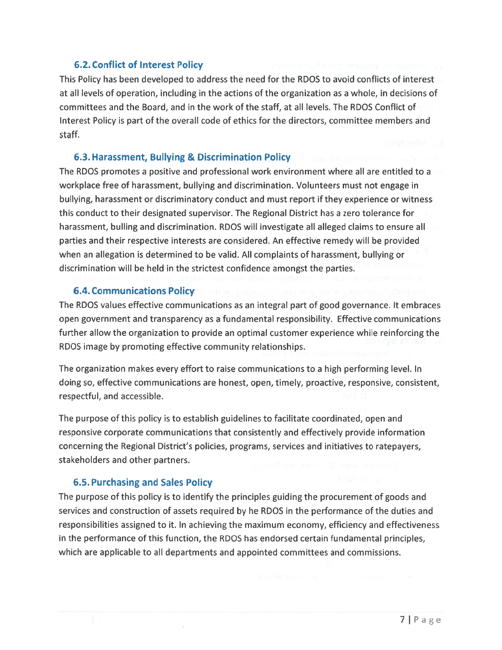#### 6.2. Conflict of Interest Policy

This Policy has been developed to address the need for the RDOS to avoid conflicts of interest at all levels of operation, including in the actions of the organization as <sup>a</sup> whole, in decisions of committees and the Board, and in the work of the staff, at all levels. The RDOS Conflict of Interest Policy is par<sup>t</sup> of the overall code of ethics for the directors, committee members and staff.

#### 6.3. Harassment, Bullying & Discrimination Policy

The RDOS promotes <sup>a</sup> positive and professional work environment where all are entitled to <sup>a</sup> workplace free of harassment, bullying and discrimination. Volunteers must not engage in bullying, harassment or discriminatory conduct and must repor<sup>t</sup> if they experience or witness this conduct to their designated supervisor. The Regional District has <sup>a</sup> zero tolerance for harassment, bulling and discrimination. RDOS will investigate all alleged claims to ensure all parties and their respective interests are considered. An effective remedy will be provided when an allegation is determined to be valid. All complaints of harassment, bullying or discrimination will be held in the strictest confidence amongs<sup>t</sup> the parties.

#### 6.4. Communications Policy

The RDOS values effective communications as an integral par<sup>t</sup> of good governance. It embraces open governmen<sup>t</sup> and transparency as <sup>a</sup> fundamental responsibility. Effective communications further allow the organization to provide an optimal customer experience while reinforcing the RDOS image by promoting effective community relationships.

The organization makes every effort to raise communications to <sup>a</sup> high performing level. In doing so, effective communications are honest, open, timely, proactive, responsive, consistent, respectful, and accessible.

The purpose of this policy is to establish guidelines to facilitate coordinated, open and responsive corporate communications that consistently and effectively provide information concerning the Regional District's policies, programs, services and initiatives to ratepayers, stakeholders and other partners.

#### 6.5. Purchasing and Sales Policy

The purpose of this policy is to identify the principles guiding the procuremen<sup>t</sup> of goods and services and construction of assets required by he RDCS in the performance of the duties and responsibilities assigned to it. In achieving the maximum economy, efficiency and effectiveness in the performance of this function, the RDOS has endorsed certain fundamental principles, which are applicable to all departments and appointed committees and commissions.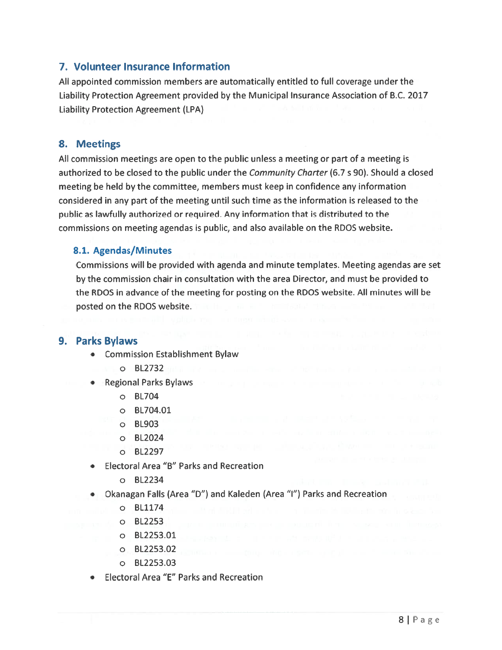### 7. Volunteer Insurance Information

All appointed commission members are automatically entitled to full coverage under the Liability Protection Agreement provided by the Municipal Insurance Association of B.C. 2017 Liability Protection Agreement (LPA)

#### 8. Meetings

All commission meetings are open to the public unless <sup>a</sup> meeting or par<sup>t</sup> of <sup>a</sup> meeting is authorized to be closed to the public under the *Community Charter* (6.7 s 90). Should a closed meeting be held by the committee, members must keep in confidence any information considered in any par<sup>t</sup> of the meeting until such time as the information is released to the public as lawfully authorized or required. Any information that is distributed to the commissions on meeting agendas is public, and also available on the RDOS website.

#### 8.1. Agendas/Minutes

Commissions will be provided with agenda and minute templates. Meeting agendas are set by the commission chair in consultation with the area Director, and must be provided to the RDOS in advance of the meeting for posting on the RDOS website. All minutes will be posted on the RDOS website.

#### 9. Parks Bylaws

- **•** Commission Establishment Bylaw
	- o BL2732
- • Regional Parks Bylaws
	- o 8L704
	- o 8L704.01
	- o BL903
	- o BL2024
	- o BL2297
- • Electoral Area "B" Parks and Recreation
	- o BL2234
- • Okanagan Falls (Area "D") and Kaleden (Area "I") Parks and Recreation
	- o BL1174
	- o BL2253
	- o BL2253.01
	- o BL2253.02
	- o BL2253.03
- •Electoral Area "E" Parks and Recreation